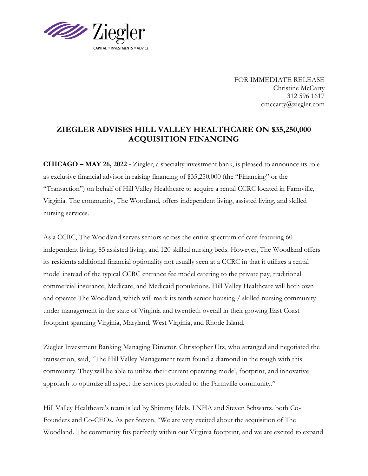

FOR IMMEDIATE RELEASE Christine McCarty 312 596 1617 cmccarty@ziegler.com

## **ZIEGLER ADVISES HILL VALLEY HEALTHCARE ON \$35,250,000 ACQUISITION FINANCING**

**CHICAGO – MAY 26, 2022 -** Ziegler, a specialty investment bank, is pleased to announce its role as exclusive financial advisor in raising financing of \$35,250,000 (the "Financing" or the "Transaction") on behalf of Hill Valley Healthcare to acquire a rental CCRC located in Farmville, Virginia. The community, The Woodland, offers independent living, assisted living, and skilled nursing services.

As a CCRC, The Woodland serves seniors across the entire spectrum of care featuring 60 independent living, 85 assisted living, and 120 skilled nursing beds. However, The Woodland offers its residents additional financial optionality not usually seen at a CCRC in that it utilizes a rental model instead of the typical CCRC entrance fee model catering to the private pay, traditional commercial insurance, Medicare, and Medicaid populations. Hill Valley Healthcare will both own and operate The Woodland, which will mark its tenth senior housing / skilled nursing community under management in the state of Virginia and twentieth overall in their growing East Coast footprint spanning Virginia, Maryland, West Virginia, and Rhode Island.

Ziegler Investment Banking Managing Director, Christopher Utz, who arranged and negotiated the transaction, said, "The Hill Valley Management team found a diamond in the rough with this community. They will be able to utilize their current operating model, footprint, and innovative approach to optimize all aspect the services provided to the Farmville community."

Hill Valley Healthcare's team is led by Shimmy Idels, LNHA and Steven Schwartz, both Co-Founders and Co-CEOs. As per Steven, "We are very excited about the acquisition of The Woodland. The community fits perfectly within our Virginia footprint, and we are excited to expand